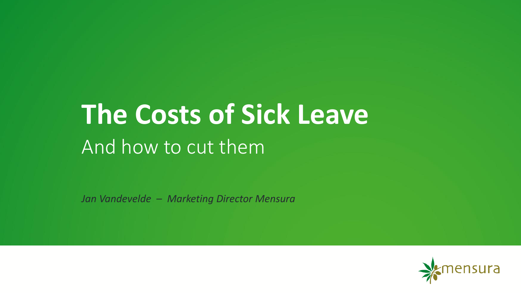# And how to cut them **The Costs of Sick Leave**

*Jan Vandevelde – Marketing Director Mensura* 

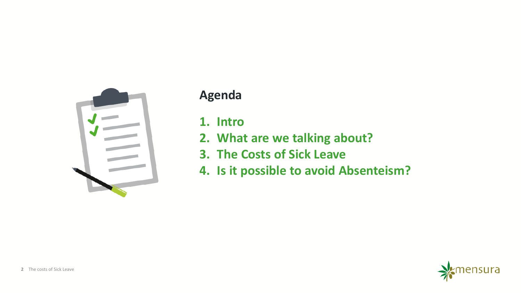

#### **Agenda**

**1. Intro** 

- **2. What are we talking about?**
- **3. The Costs of Sick Leave**
- **4. Is it possible to avoid Absenteism?**

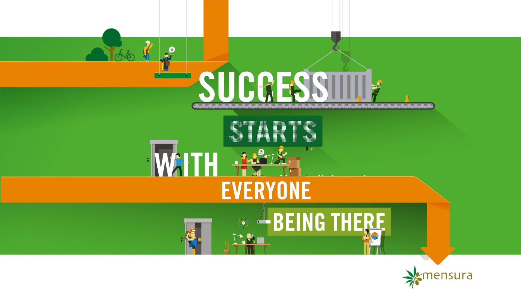

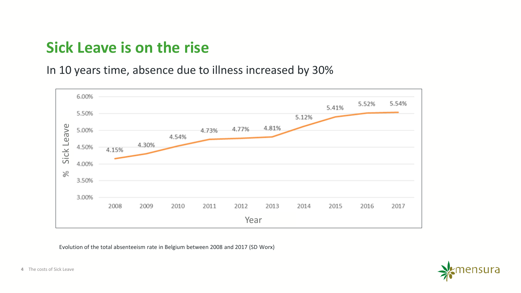### **Sick Leave is on the rise**

In 10 years time, absence due to illness increased by 30%



Evolution of the total absenteeism rate in Belgium between 2008 and 2017 (SD Worx)

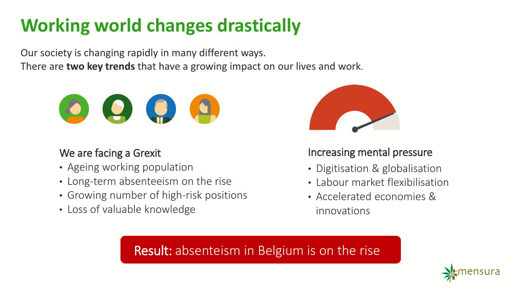# **Working world changes drastically**

Our society is changing rapidly in many different ways. There are **two key trends** that have a growing impact on our lives and work.



#### We are facing a Grexit

- Ageing working population
- Long-term absenteeism on the rise
- Growing number of high-risk positions
- Loss of valuable knowledge



#### Increasing mental pressure

- Digitisation & globalisation
- Labour market flexibilisation
- Accelerated economies & innovations

#### Result: absenteism in Belgium is on the rise

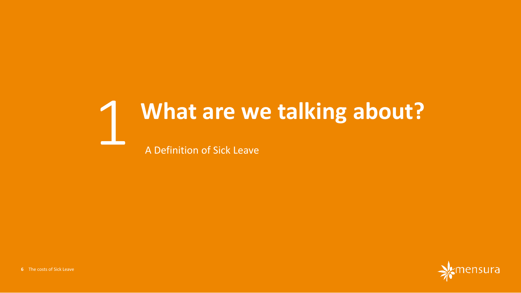# 1 **What are we talking about?**

A Definition of Sick Leave

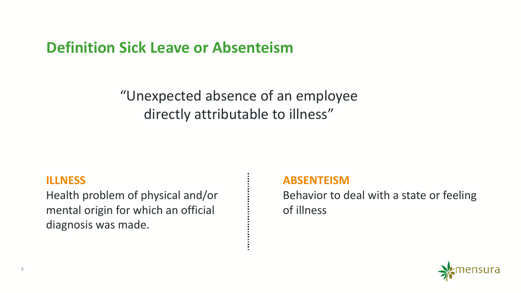**Definition Sick Leave or Absenteism**

"Unexpected absence of an employee directly attributable to illness"

#### **ILLNESS**

Health problem of physical and/or mental origin for which an official diagnosis was made.

#### **ABSENTEISM**

Behavior to deal with a state or feeling of illness

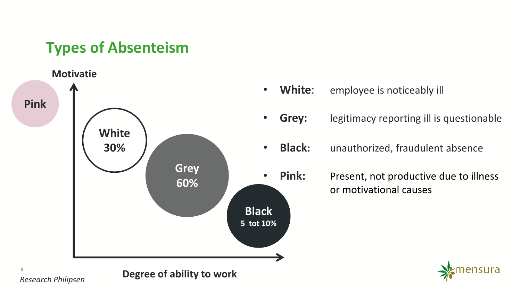### **Types of Absenteism**



- **White**: employee is noticeably ill
- **Grey:** legitimacy reporting ill is questionable
- **Black:** unauthorized, fraudulent absence
	- **Pink:** Present, not productive due to illness or motivational causes

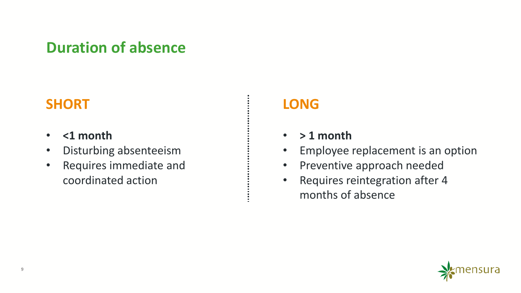### **Duration of absence**

### **SHORT**

- **<1 month**
- Disturbing absenteeism
- Requires immediate and coordinated action

#### **LONG**

- **> 1 month**
- Employee replacement is an option
- Preventive approach needed
- Requires reintegration after 4 months of absence

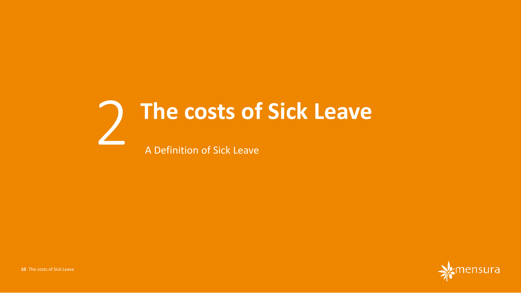# 2 **The costs of Sick Leave** A Definition of Sick Leave

**nsura**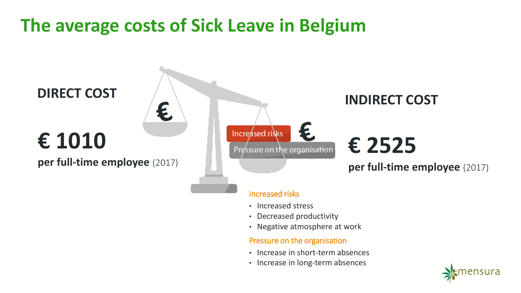## **The average costs of Sick Leave in Belgium**



• Increase in long-term absences

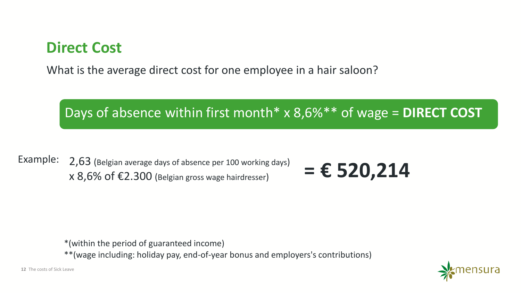### **Direct Cost**

What is the average direct cost for one employee in a hair saloon?

### Days of absence within first month\* x 8,6%\*\* of wage = **DIRECT COST**

Example: 2,63 (Belgian average days of absence per 100 working days)  $\times$  8,6% of  $\epsilon$ 2.300 (Belgian gross wage hairdresser)  $= \epsilon$  520,214

\*(within the period of guaranteed income)

\*\*(wage including: holiday pay, end-of-year bonus and employers's contributions)

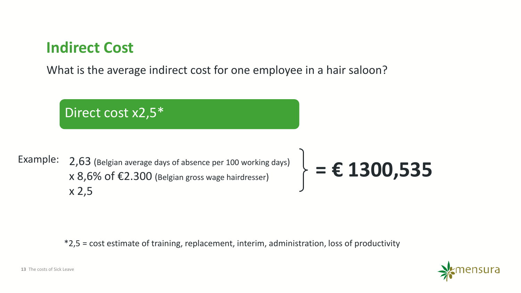### **Indirect Cost**

What is the average indirect cost for one employee in a hair saloon?

Direct cost x2,5\* Example: 2,63 (Belgian average days of absence per 100 working days)  $\times$  8,6% of  $\epsilon$ 2.300 (Belgian gross wage hairdresser) x 2,5  $\bigg\} = \epsilon 1300,535$ 

\*2,5 = cost estimate of training, replacement, interim, administration, loss of productivity

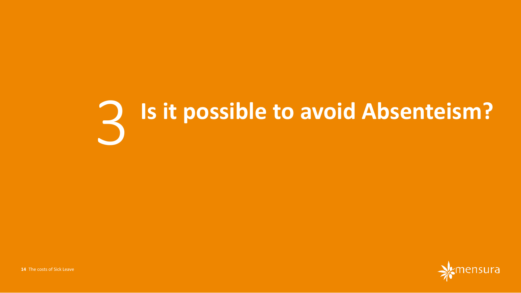# **Is it possible to avoid Absenteism?**

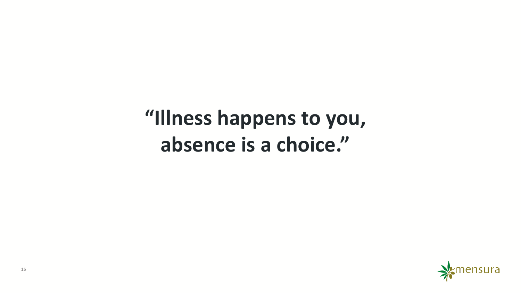# **"Illness happens to you, absence is a choice."**

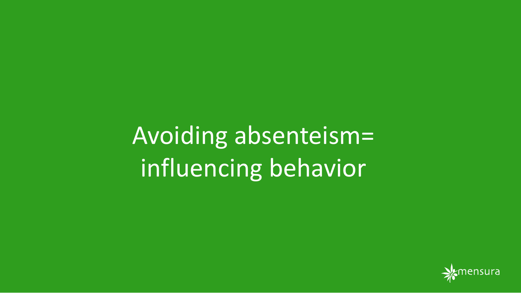Avoiding absenteism= influencing behavior

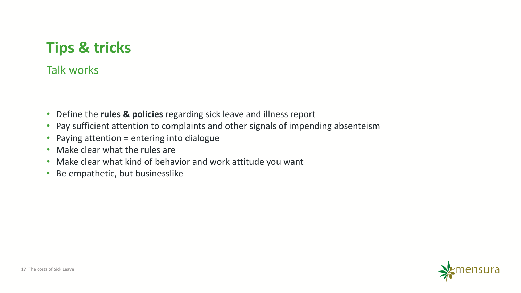### **Tips & tricks**

#### Talk works

- Define the **rules & policies** regarding sick leave and illness report
- Pay sufficient attention to complaints and other signals of impending absenteism
- Paying attention = entering into dialogue
- Make clear what the rules are
- Make clear what kind of behavior and work attitude you want
- Be empathetic, but businesslike